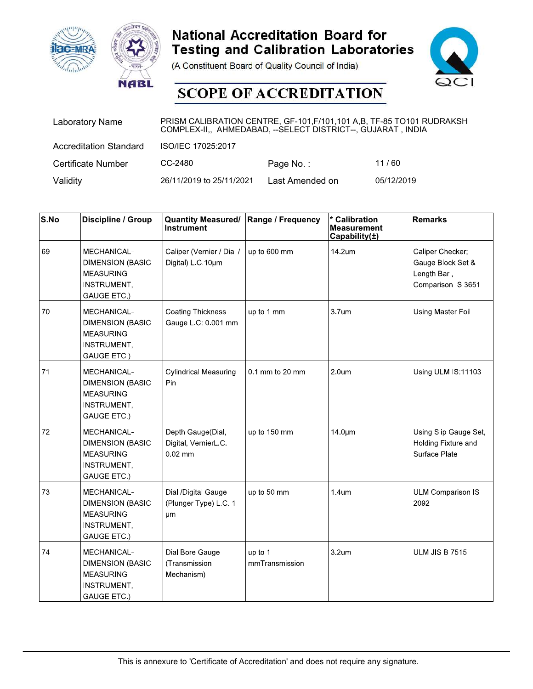





| <b>ac-MRA</b> | <b>NABL</b>                   |                                                                                                                                         | <b>National Accreditation Board for</b><br><b>Testing and Calibration Laboratories</b><br>(A Constituent Board of Quality Council of India)<br><b>SCOPE OF ACCREDITATION</b> |                                                                | QCI               |  |
|---------------|-------------------------------|-----------------------------------------------------------------------------------------------------------------------------------------|------------------------------------------------------------------------------------------------------------------------------------------------------------------------------|----------------------------------------------------------------|-------------------|--|
|               | Laboratory Name               | PRISM CALIBRATION CENTRE, GF-101, F/101, 101 A, B, TF-85 TO101 RUDRAKSH<br>COMPLEX-II,, AHMEDABAD, -- SELECT DISTRICT--, GUJARAT, INDIA |                                                                                                                                                                              |                                                                |                   |  |
|               | <b>Accreditation Standard</b> | ISO/IEC 17025:2017                                                                                                                      |                                                                                                                                                                              |                                                                |                   |  |
|               | Certificate Number            | CC-2480                                                                                                                                 | Page No.:                                                                                                                                                                    | 11/60                                                          |                   |  |
| Validity      |                               | 26/11/2019 to 25/11/2021                                                                                                                | Last Amended on                                                                                                                                                              | 05/12/2019                                                     |                   |  |
|               |                               |                                                                                                                                         |                                                                                                                                                                              |                                                                |                   |  |
| S.No          | Discipline / Group            | <b>Quantity Measured/</b><br>Instrument                                                                                                 | Range / Frequency                                                                                                                                                            | <b>Calibration</b><br><b>Measurement</b><br>Capability $(\pm)$ | <b>Remarks</b>    |  |
| 69            | <b>MECHANICAL-</b>            | Caliper (Vernier / Dial /                                                                                                               | up to 600 mm                                                                                                                                                                 | 14.2um                                                         | Caliper Checker;  |  |
|               | <b>DIMENSION (BASIC</b>       | Digital) $L \, C.10 \mu m$                                                                                                              |                                                                                                                                                                              |                                                                | Gauge Block Set & |  |
|               | <b>MEASURING</b>              |                                                                                                                                         |                                                                                                                                                                              |                                                                | Length Bar.       |  |

| <b>Hac-MRA</b>           | <b>NABL</b>                                                                                            |                                                                                                                                        | <b>National Accreditation Board for</b><br><b>Testing and Calibration Laboratories</b><br>(A Constituent Board of Quality Council of India)<br><b>SCOPE OF ACCREDITATION</b> |                                                      |                                                                            |
|--------------------------|--------------------------------------------------------------------------------------------------------|----------------------------------------------------------------------------------------------------------------------------------------|------------------------------------------------------------------------------------------------------------------------------------------------------------------------------|------------------------------------------------------|----------------------------------------------------------------------------|
|                          | <b>Laboratory Name</b>                                                                                 | PRISM CALIBRATION CENTRE, GF-101, F/101, 101 A,B, TF-85 TO101 RUDRAKSH<br>COMPLEX-II,, AHMEDABAD, -- SELECT DISTRICT--, GUJARAT, INDIA |                                                                                                                                                                              |                                                      |                                                                            |
|                          | <b>Accreditation Standard</b>                                                                          | ISO/IEC 17025:2017                                                                                                                     |                                                                                                                                                                              |                                                      |                                                                            |
|                          | <b>Certificate Number</b>                                                                              | CC-2480                                                                                                                                | Page No.:                                                                                                                                                                    | 11/60                                                |                                                                            |
| Validity                 |                                                                                                        | 26/11/2019 to 25/11/2021                                                                                                               | Last Amended on                                                                                                                                                              |                                                      | 05/12/2019                                                                 |
| $\mathsf{S}.\mathsf{No}$ | Discipline / Group                                                                                     | <b>Quantity Measured/</b><br><b>Instrument</b>                                                                                         | Range / Frequency                                                                                                                                                            | * Calibration<br><b>Measurement</b><br>Capability(±) | Remarks                                                                    |
| 69                       | MECHANICAL-<br><b>DIMENSION (BASIC</b><br><b>MEASURING</b><br><b>INSTRUMENT,</b><br>GAUGE ETC.)        | Caliper (Vernier / Dial /<br>Digital) L.C. 10um                                                                                        | up to 600 mm                                                                                                                                                                 | 14.2um                                               | Caliper Checker;<br>Gauge Block Set &<br>Length Bar,<br>Comparison IS 3651 |
| 70                       | MECHANICAL-<br><b>DIMENSION (BASIC</b><br><b>MEASURING</b><br><b>INSTRUMENT,</b><br>GAUGE ETC.)        | <b>Coating Thickness</b><br>Gauge L.C: 0.001 mm                                                                                        | up to 1 mm                                                                                                                                                                   | 3.7um                                                | Using Master Foil                                                          |
| 71                       | <b>MECHANICAL-</b><br><b>DIMENSION (BASIC</b><br><b>MEASURING</b><br><b>INSTRUMENT,</b><br>GAUGE ETC.) | <b>Cylindrical Measuring</b><br>Pin                                                                                                    | 0.1 mm to 20 mm                                                                                                                                                              | 2.0 <sub>um</sub>                                    | Using ULM IS:11103                                                         |
| 72                       | MECHANICAL-<br><b>DIMENSION (BASIC</b><br><b>MEASURING</b><br><b>INSTRUMENT,</b><br>GAUGE ETC.)        | Depth Gauge(Dial,<br>Digital, VernierL.C.<br>$0.02$ mm                                                                                 | up to 150 mm                                                                                                                                                                 | 14.0um                                               | Using Slip Gauge Set,<br>Holding Fixture and<br>Surface Plate              |
| 73                       | MECHANICAL-<br><b>DIMENSION (BASIC</b><br><b>MEASURING</b><br><b>INSTRUMENT,</b><br>GAUGE ETC.)        | Dial /Digital Gauge<br>(Plunger Type) L C 1<br>μm                                                                                      | up to 50 mm                                                                                                                                                                  | 1.4um                                                | <b>ULM Comparison IS</b><br>2092                                           |
| 74                       | MECHANICAL-<br><b>DIMENSION (BASIC</b><br><b>MEASURING</b><br><b>INSTRUMENT,</b><br>GAUGE ETC.)        | Dial Bore Gauge<br>(Transmission<br>Mechanism)                                                                                         | up to 1<br>mmTransmission                                                                                                                                                    | 3.2um                                                | <b>ULM JIS B 7515</b>                                                      |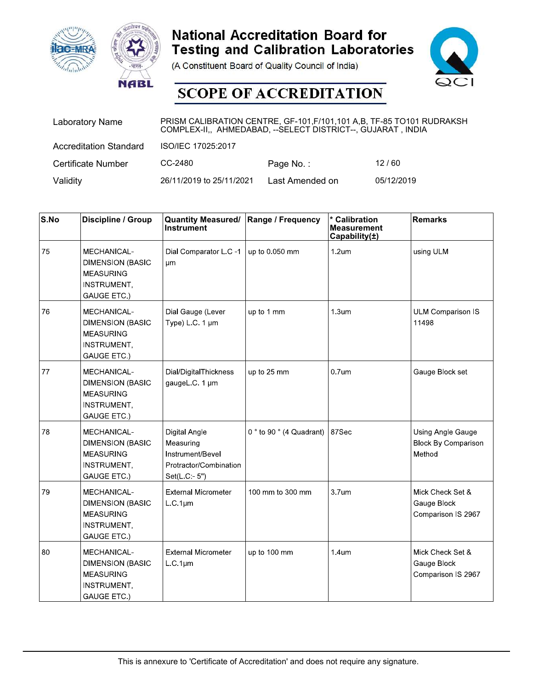





|          | <b>ac-MRA</b><br><b>NABL</b>                               |                                                                                                                                         | <b>National Accreditation Board for</b><br>(A Constituent Board of Quality Council of India)<br><b>SCOPE OF ACCREDITATION</b> | <b>Testing and Calibration Laboratories</b>                    | $\mathsf{QC}$  |
|----------|------------------------------------------------------------|-----------------------------------------------------------------------------------------------------------------------------------------|-------------------------------------------------------------------------------------------------------------------------------|----------------------------------------------------------------|----------------|
|          | <b>Laboratory Name</b>                                     | PRISM CALIBRATION CENTRE, GF-101, F/101, 101 A, B, TF-85 TO101 RUDRAKSH<br>COMPLEX-II,, AHMEDABAD, -- SELECT DISTRICT--, GUJARAT, INDIA |                                                                                                                               |                                                                |                |
|          | <b>Accreditation Standard</b>                              | ISO/IEC 17025:2017                                                                                                                      |                                                                                                                               |                                                                |                |
|          | Certificate Number                                         | CC-2480                                                                                                                                 | Page No.:                                                                                                                     | 12/60                                                          |                |
| Validity |                                                            | 26/11/2019 to 25/11/2021                                                                                                                | Last Amended on                                                                                                               | 05/12/2019                                                     |                |
|          |                                                            |                                                                                                                                         |                                                                                                                               |                                                                |                |
| S.No     | Discipline / Group                                         | <b>Quantity Measured/</b><br>Instrument                                                                                                 | Range / Frequency                                                                                                             | <b>Calibration</b><br><b>Measurement</b><br>Capability $(\pm)$ | <b>Remarks</b> |
| 75       | MECHANICAL-<br><b>DIMENSION (BASIC</b><br><b>MEASURING</b> | Dial Comparator L C -1<br>μm                                                                                                            | up to 0.050 mm                                                                                                                | 1.2 <sub>um</sub>                                              | using ULM      |

| <b>Hac-MRA</b> | <b>NABL</b>                                                                                     |                                                                                                                                         | <b>National Accreditation Board for</b><br><b>Testing and Calibration Laboratories</b><br>(A Constituent Board of Quality Council of India)<br><b>SCOPE OF ACCREDITATION</b> |                                               |                                                           |
|----------------|-------------------------------------------------------------------------------------------------|-----------------------------------------------------------------------------------------------------------------------------------------|------------------------------------------------------------------------------------------------------------------------------------------------------------------------------|-----------------------------------------------|-----------------------------------------------------------|
|                | <b>Laboratory Name</b>                                                                          | PRISM CALIBRATION CENTRE, GF-101, F/101, 101 A, B, TF-85 TO101 RUDRAKSH<br>COMPLEX-II,, AHMEDABAD, -- SELECT DISTRICT--, GUJARAT, INDIA |                                                                                                                                                                              |                                               |                                                           |
|                | <b>Accreditation Standard</b>                                                                   | ISO/IEC 17025:2017                                                                                                                      |                                                                                                                                                                              |                                               |                                                           |
|                | <b>Certificate Number</b>                                                                       | CC-2480                                                                                                                                 | Page No.:                                                                                                                                                                    | 12/60                                         |                                                           |
| Validity       |                                                                                                 | 26/11/2019 to 25/11/2021                                                                                                                | Last Amended on                                                                                                                                                              |                                               | 05/12/2019                                                |
| S.No           | Discipline / Group                                                                              | <b>Quantity Measured/</b><br><b>Instrument</b>                                                                                          | Range / Frequency                                                                                                                                                            | * Calibration<br>Measurement<br>Capability(±) | Remarks                                                   |
| 75             | MECHANICAL-<br><b>DIMENSION (BASIC</b><br><b>MEASURING</b><br><b>INSTRUMENT,</b><br>GAUGE ETC.) | Dial Comparator L.C -1<br>μm                                                                                                            | up to 0.050 mm                                                                                                                                                               | 1.2 <sub>um</sub>                             | using ULM                                                 |
| 76             | MECHANICAL-<br><b>DIMENSION (BASIC</b><br><b>MEASURING</b><br><b>INSTRUMENT,</b><br>GAUGE ETC.) | Dial Gauge (Lever<br>Type) L.C. 1 µm                                                                                                    | up to 1 mm                                                                                                                                                                   | 1.3 <sub>um</sub>                             | <b>ULM Comparison IS</b><br>11498                         |
| 77             | MECHANICAL-<br><b>DIMENSION (BASIC</b><br><b>MEASURING</b><br><b>INSTRUMENT,</b><br>GAUGE ETC.) | Dial/DigitalThickness<br>gaugeL.C. 1 µm                                                                                                 | up to 25 mm                                                                                                                                                                  | 0.7 <sub>um</sub>                             | Gauge Block set                                           |
| 78             | MECHANICAL-<br><b>DIMENSION (BASIC</b><br><b>MEASURING</b><br>INSTRUMENT,<br>GAUGE ETC.)        | <b>Digital Angle</b><br>Measuring<br>Instrument/Bevel<br>Protractor/Combination<br>Set(L.C:-5")                                         | 0 $\degree$ to 90 $\degree$ (4 Quadrant) 87Sec                                                                                                                               |                                               | Using Angle Gauge<br><b>Block By Comparison</b><br>Method |
| 79             | MECHANICAL-<br><b>DIMENSION (BASIC</b><br><b>MEASURING</b><br>INSTRUMENT,<br>GAUGE ETC.)        | <b>External Micrometer</b><br>L.C.1µm                                                                                                   | 100 mm to 300 mm                                                                                                                                                             | 3.7um                                         | Mick Check Set &<br>Gauge Block<br>Comparison IS 2967     |
| 80             | MECHANICAL-<br><b>DIMENSION (BASIC</b><br><b>MEASURING</b><br><b>INSTRUMENT,</b><br>GAUGE ETC.) | <b>External Micrometer</b><br>L C 1µm                                                                                                   | up to 100 mm                                                                                                                                                                 | 1.4um                                         | Mick Check Set &<br>Gauge Block<br>Comparison IS 2967     |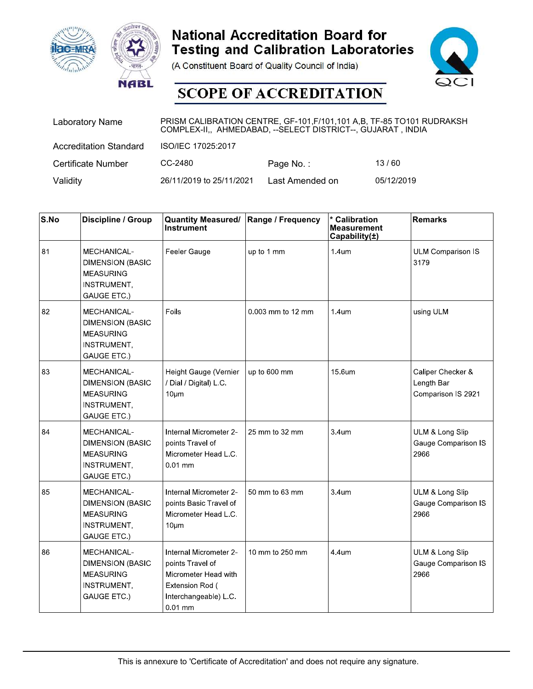



| <b>ac-MRA</b> | <b>NABL</b>                                                |                                                                                                                                         | <b>National Accreditation Board for</b><br><b>Testing and Calibration Laboratories</b><br>(A Constituent Board of Quality Council of India)<br><b>SCOPE OF ACCREDITATION</b> |                                                                | $\mathsf{QC}$                    |
|---------------|------------------------------------------------------------|-----------------------------------------------------------------------------------------------------------------------------------------|------------------------------------------------------------------------------------------------------------------------------------------------------------------------------|----------------------------------------------------------------|----------------------------------|
|               | <b>Laboratory Name</b>                                     | PRISM CALIBRATION CENTRE, GF-101, F/101, 101 A, B, TF-85 TO101 RUDRAKSH<br>COMPLEX-II,, AHMEDABAD, -- SELECT DISTRICT--, GUJARAT, INDIA |                                                                                                                                                                              |                                                                |                                  |
|               | <b>Accreditation Standard</b>                              | ISO/IEC 17025:2017                                                                                                                      |                                                                                                                                                                              |                                                                |                                  |
|               | Certificate Number                                         | CC-2480                                                                                                                                 | Page No.:                                                                                                                                                                    | 13/60                                                          |                                  |
| Validity      |                                                            | 26/11/2019 to 25/11/2021                                                                                                                | Last Amended on                                                                                                                                                              | 05/12/2019                                                     |                                  |
|               |                                                            |                                                                                                                                         |                                                                                                                                                                              |                                                                |                                  |
| S.No          | Discipline / Group                                         | <b>Quantity Measured/</b><br>Instrument                                                                                                 | Range / Frequency                                                                                                                                                            | <b>Calibration</b><br><b>Measurement</b><br>Capability $(\pm)$ | <b>Remarks</b>                   |
| 81            | MECHANICAL-<br><b>DIMENSION (BASIC</b><br><b>MEASURING</b> | Feeler Gauge                                                                                                                            | up to 1 mm                                                                                                                                                                   | 1.4 <sub>um</sub>                                              | <b>ULM Comparison IS</b><br>3179 |

| <b>Hac-MRA</b>           | <b>NABL</b>                                                                                            |                                                                                                                                        | <b>National Accreditation Board for</b><br><b>Testing and Calibration Laboratories</b><br>(A Constituent Board of Quality Council of India)<br><b>SCOPE OF ACCREDITATION</b> |                                                      |                                                       |
|--------------------------|--------------------------------------------------------------------------------------------------------|----------------------------------------------------------------------------------------------------------------------------------------|------------------------------------------------------------------------------------------------------------------------------------------------------------------------------|------------------------------------------------------|-------------------------------------------------------|
|                          | <b>Laboratory Name</b>                                                                                 | PRISM CALIBRATION CENTRE, GF-101, F/101, 101 A,B, TF-85 TO101 RUDRAKSH<br>COMPLEX-II,, AHMEDABAD, -- SELECT DISTRICT--, GUJARAT, INDIA |                                                                                                                                                                              |                                                      |                                                       |
|                          | <b>Accreditation Standard</b>                                                                          | ISO/IEC 17025:2017                                                                                                                     |                                                                                                                                                                              |                                                      |                                                       |
|                          | <b>Certificate Number</b>                                                                              | CC-2480                                                                                                                                | Page No.:                                                                                                                                                                    | 13/60                                                |                                                       |
| Validity                 |                                                                                                        | 26/11/2019 to 25/11/2021                                                                                                               | Last Amended on                                                                                                                                                              |                                                      | 05/12/2019                                            |
|                          |                                                                                                        |                                                                                                                                        |                                                                                                                                                                              |                                                      |                                                       |
| $\mathsf{S}.\mathsf{No}$ | Discipline / Group                                                                                     | <b>Quantity Measured/</b><br><b>Instrument</b>                                                                                         | Range / Frequency                                                                                                                                                            | * Calibration<br><b>Measurement</b><br>Capability(±) | Remarks                                               |
| 81                       | MECHANICAL-<br><b>DIMENSION (BASIC</b><br><b>MEASURING</b><br><b>INSTRUMENT,</b><br>GAUGE ETC.)        | Feeler Gauge                                                                                                                           | up to 1 mm                                                                                                                                                                   | 1.4um                                                | <b>ULM Comparison IS</b><br>3179                      |
| 82                       | MECHANICAL-<br><b>DIMENSION (BASIC</b><br><b>MEASURING</b><br><b>INSTRUMENT,</b><br>GAUGE ETC.)        | Foils                                                                                                                                  | 0.003 mm to 12 mm                                                                                                                                                            | 1.4 <sub>um</sub>                                    | using ULM                                             |
| 83                       | MECHANICAL-<br><b>DIMENSION (BASIC</b><br><b>MEASURING</b><br><b>INSTRUMENT,</b><br>GAUGE ETC.)        | Height Gauge (Vernier<br>/ Dial / Digital) L.C.<br>$10 \mu m$                                                                          | up to 600 mm                                                                                                                                                                 | 15.6um                                               | Caliper Checker &<br>Length Bar<br>Comparison IS 2921 |
| 84                       | MECHANICAL-<br><b>DIMENSION (BASIC</b><br><b>MEASURING</b><br><b>INSTRUMENT,</b><br>GAUGE ETC.)        | Internal Micrometer 2-<br>points Travel of<br>Micrometer Head L.C.<br>$0.01$ mm                                                        | 25 mm to 32 mm                                                                                                                                                               | 3.4um                                                | ULM & Long Slip<br>Gauge Comparison IS<br>2966        |
| 85                       | MECHANICAL-<br><b>DIMENSION (BASIC</b><br><b>MEASURING</b><br><b>INSTRUMENT,</b><br>GAUGE ETC.)        | <b>Internal Micrometer 2-</b><br>points Basic Travel of<br>Micrometer Head L.C.<br>$10 \mu m$                                          | 50 mm to 63 mm                                                                                                                                                               | 3.4um                                                | ULM & Long Slip<br>Gauge Comparison IS<br>2966        |
| 86                       | <b>MECHANICAL-</b><br><b>DIMENSION (BASIC</b><br><b>MEASURING</b><br><b>INSTRUMENT,</b><br>GAUGE ETC.) | Internal Micrometer 2-<br>points Travel of<br>Micrometer Head with<br>Extension Rod (<br>Interchangeable) L.C.<br>$0.01$ mm            | 10 mm to 250 mm                                                                                                                                                              | 4.4um                                                | ULM & Long Slip<br>Gauge Comparison IS<br>2966        |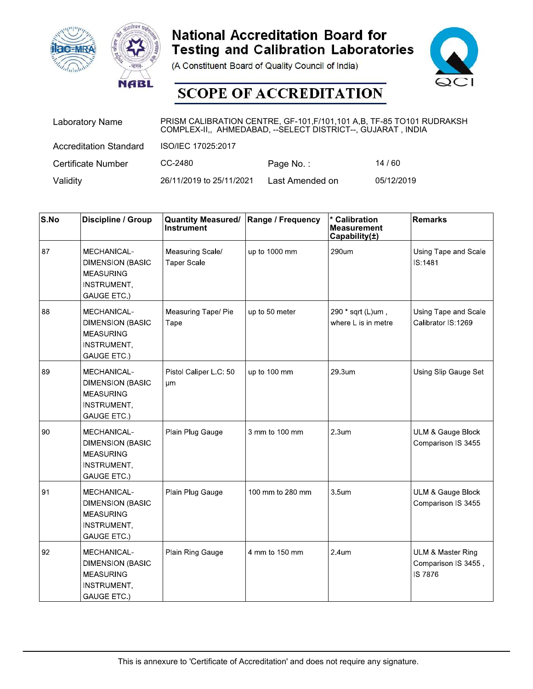





|          | <b>ac-MRA</b><br><b>NABL</b>                                      |                                                                                                                                         | <b>National Accreditation Board for</b><br>(A Constituent Board of Quality Council of India)<br><b>SCOPE OF ACCREDITATION</b> | <b>Testing and Calibration Laboratories</b>                    | QCI                                    |
|----------|-------------------------------------------------------------------|-----------------------------------------------------------------------------------------------------------------------------------------|-------------------------------------------------------------------------------------------------------------------------------|----------------------------------------------------------------|----------------------------------------|
|          | <b>Laboratory Name</b>                                            | PRISM CALIBRATION CENTRE, GF-101, F/101, 101 A, B, TF-85 TO101 RUDRAKSH<br>COMPLEX-II,, AHMEDABAD, -- SELECT DISTRICT--, GUJARAT, INDIA |                                                                                                                               |                                                                |                                        |
|          | <b>Accreditation Standard</b>                                     | ISO/IEC 17025:2017                                                                                                                      |                                                                                                                               |                                                                |                                        |
|          | Certificate Number                                                | CC-2480                                                                                                                                 | Page No.:                                                                                                                     | 14/60                                                          |                                        |
| Validity |                                                                   | 26/11/2019 to 25/11/2021                                                                                                                | Last Amended on                                                                                                               | 05/12/2019                                                     |                                        |
| S.No     | Discipline / Group                                                | <b>Quantity Measured/</b><br>Instrument                                                                                                 | Range / Frequency                                                                                                             | <b>Calibration</b><br><b>Measurement</b><br>Capability $(\pm)$ | <b>Remarks</b>                         |
| 87       | <b>MECHANICAL-</b><br><b>DIMENSION (BASIC</b><br><b>MEASURING</b> | Measuring Scale/<br><b>Taper Scale</b>                                                                                                  | up to 1000 mm                                                                                                                 | 290um                                                          | Using Tape and Scale<br><b>IS:1481</b> |

| <b>Hac-MRA</b>           | <b>NABL</b>                                                                                            |                                                                                                                                        | <b>National Accreditation Board for</b><br><b>Testing and Calibration Laboratories</b><br>(A Constituent Board of Quality Council of India)<br><b>SCOPE OF ACCREDITATION</b> |                                                      |                                                                       |
|--------------------------|--------------------------------------------------------------------------------------------------------|----------------------------------------------------------------------------------------------------------------------------------------|------------------------------------------------------------------------------------------------------------------------------------------------------------------------------|------------------------------------------------------|-----------------------------------------------------------------------|
|                          | <b>Laboratory Name</b>                                                                                 | PRISM CALIBRATION CENTRE, GF-101, F/101, 101 A,B, TF-85 TO101 RUDRAKSH<br>COMPLEX-II,, AHMEDABAD, -- SELECT DISTRICT--, GUJARAT, INDIA |                                                                                                                                                                              |                                                      |                                                                       |
|                          | <b>Accreditation Standard</b>                                                                          | ISO/IEC 17025:2017                                                                                                                     |                                                                                                                                                                              |                                                      |                                                                       |
|                          | <b>Certificate Number</b>                                                                              | CC-2480                                                                                                                                | Page No.:                                                                                                                                                                    | 14/60                                                |                                                                       |
| Validity                 |                                                                                                        | 26/11/2019 to 25/11/2021                                                                                                               | Last Amended on                                                                                                                                                              | 05/12/2019                                           |                                                                       |
| $\mathsf{S}.\mathsf{No}$ | Discipline / Group                                                                                     | <b>Quantity Measured/</b><br><b>Instrument</b>                                                                                         | Range / Frequency                                                                                                                                                            | * Calibration<br><b>Measurement</b><br>Capability(±) | Remarks                                                               |
| 87                       | MECHANICAL-<br><b>DIMENSION (BASIC</b><br><b>MEASURING</b><br><b>INSTRUMENT,</b><br>GAUGE ETC.)        | Measuring Scale/<br><b>Taper Scale</b>                                                                                                 | up to 1000 mm                                                                                                                                                                | 290um                                                | Using Tape and Scale<br>IS:1481                                       |
| 88                       | MECHANICAL-<br><b>DIMENSION (BASIC</b><br><b>MEASURING</b><br><b>INSTRUMENT,</b><br>GAUGE ETC.)        | Measuring Tape/ Pie<br>Tape                                                                                                            | up to 50 meter                                                                                                                                                               | 290 * sqrt (L)um,<br>where L is in metre             | Using Tape and Scale<br>Calibrator IS:1269                            |
| 89                       | <b>MECHANICAL-</b><br><b>DIMENSION (BASIC</b><br><b>MEASURING</b><br><b>INSTRUMENT,</b><br>GAUGE ETC.) | Pistol Caliper L.C: 50<br>μm                                                                                                           | up to 100 mm                                                                                                                                                                 | 29.3um                                               | Using Slip Gauge Set                                                  |
| 90                       | MECHANICAL-<br><b>DIMENSION (BASIC</b><br><b>MEASURING</b><br><b>INSTRUMENT,</b><br>GAUGE ETC.)        | Plain Plug Gauge                                                                                                                       | 3 mm to 100 mm                                                                                                                                                               | 2.3 <sub>um</sub>                                    | <b>ULM &amp; Gauge Block</b><br>Comparison IS 3455                    |
| 91                       | MECHANICAL-<br><b>DIMENSION (BASIC</b><br><b>MEASURING</b><br><b>INSTRUMENT,</b><br>GAUGE ETC.)        | Plain Plug Gauge                                                                                                                       | 100 mm to 280 mm                                                                                                                                                             | 3.5um                                                | <b>ULM &amp; Gauge Block</b><br>Comparison IS 3455                    |
| 92                       | MECHANICAL-<br><b>DIMENSION (BASIC</b><br><b>MEASURING</b><br><b>INSTRUMENT,</b><br>GAUGE ETC.)        | Plain Ring Gauge                                                                                                                       | 4 mm to 150 mm                                                                                                                                                               | 2 4um                                                | <b>ULM &amp; Master Ring</b><br>Comparison IS 3455,<br><b>IS 7876</b> |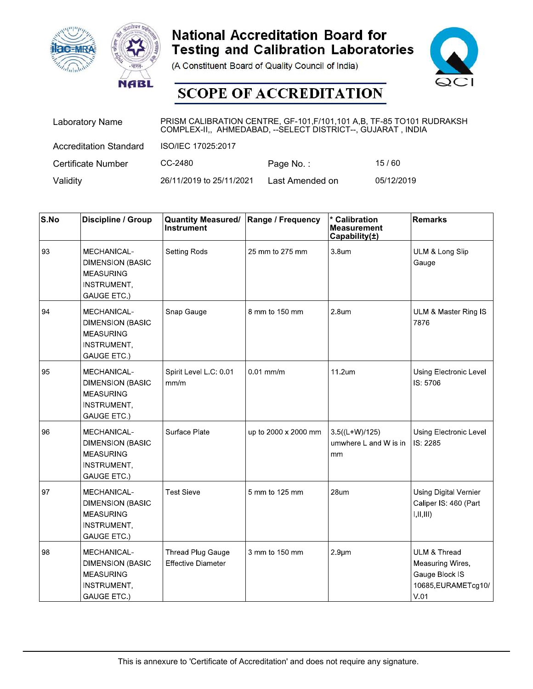



|          | <b>ac-MRA</b><br><b>NABL</b>                               |                                                                                                                                         | <b>National Accreditation Board for</b><br><b>Testing and Calibration Laboratories</b><br>(A Constituent Board of Quality Council of India)<br><b>SCOPE OF ACCREDITATION</b> |                                                                | QCI                      |
|----------|------------------------------------------------------------|-----------------------------------------------------------------------------------------------------------------------------------------|------------------------------------------------------------------------------------------------------------------------------------------------------------------------------|----------------------------------------------------------------|--------------------------|
|          | <b>Laboratory Name</b>                                     | PRISM CALIBRATION CENTRE, GF-101, F/101, 101 A, B, TF-85 TO101 RUDRAKSH<br>COMPLEX-II,, AHMEDABAD, -- SELECT DISTRICT--, GUJARAT, INDIA |                                                                                                                                                                              |                                                                |                          |
|          | <b>Accreditation Standard</b>                              | ISO/IEC 17025:2017                                                                                                                      |                                                                                                                                                                              |                                                                |                          |
|          | Certificate Number                                         | CC-2480                                                                                                                                 | Page No.:                                                                                                                                                                    | 15/60                                                          |                          |
| Validity |                                                            | 26/11/2019 to 25/11/2021                                                                                                                | Last Amended on                                                                                                                                                              | 05/12/2019                                                     |                          |
|          |                                                            |                                                                                                                                         |                                                                                                                                                                              |                                                                |                          |
| S.No     | Discipline / Group                                         | <b>Quantity Measured/</b><br>Instrument                                                                                                 | Range / Frequency                                                                                                                                                            | <b>Calibration</b><br><b>Measurement</b><br>Capability $(\pm)$ | <b>Remarks</b>           |
| 93       | MECHANICAL-<br><b>DIMENSION (BASIC</b><br><b>MEASURING</b> | <b>Setting Rods</b>                                                                                                                     | 25 mm to 275 mm                                                                                                                                                              | 3.8um                                                          | ULM & Long Slip<br>Gauge |

| <b>Hac-MRA</b>           | <b>NABL</b>                                                                                            |                                                                                                                                        | <b>National Accreditation Board for</b><br>(A Constituent Board of Quality Council of India)<br><b>SCOPE OF ACCREDITATION</b> | <b>Testing and Calibration Laboratories</b>          |                                                                                   |
|--------------------------|--------------------------------------------------------------------------------------------------------|----------------------------------------------------------------------------------------------------------------------------------------|-------------------------------------------------------------------------------------------------------------------------------|------------------------------------------------------|-----------------------------------------------------------------------------------|
|                          | <b>Laboratory Name</b>                                                                                 | PRISM CALIBRATION CENTRE, GF-101, F/101, 101 A,B, TF-85 TO101 RUDRAKSH<br>COMPLEX-II,, AHMEDABAD, -- SELECT DISTRICT--, GUJARAT, INDIA |                                                                                                                               |                                                      |                                                                                   |
|                          | <b>Accreditation Standard</b>                                                                          | ISO/IEC 17025:2017                                                                                                                     |                                                                                                                               |                                                      |                                                                                   |
|                          | <b>Certificate Number</b>                                                                              | CC-2480                                                                                                                                | Page No.:                                                                                                                     | 15/60                                                |                                                                                   |
| Validity                 |                                                                                                        | 26/11/2019 to 25/11/2021                                                                                                               | Last Amended on                                                                                                               | 05/12/2019                                           |                                                                                   |
| $\mathsf{S}.\mathsf{No}$ | Discipline / Group                                                                                     | <b>Quantity Measured/</b><br>Instrument                                                                                                | Range / Frequency                                                                                                             | * Calibration<br><b>Measurement</b><br>Capability(±) | Remarks                                                                           |
| 93                       | MECHANICAL-<br><b>DIMENSION (BASIC</b><br><b>MEASURING</b><br><b>INSTRUMENT,</b><br>GAUGE ETC.)        | Setting Rods                                                                                                                           | 25 mm to 275 mm                                                                                                               | 3.8um                                                | ULM & Long Slip<br>Gauge                                                          |
| 94                       | MECHANICAL-<br><b>DIMENSION (BASIC</b><br><b>MEASURING</b><br><b>INSTRUMENT,</b><br>GAUGE ETC.)        | Snap Gauge                                                                                                                             | 8 mm to 150 mm                                                                                                                | 2.8 <sub>um</sub>                                    | ULM & Master Ring IS<br>7876                                                      |
| 95                       | <b>MECHANICAL-</b><br><b>DIMENSION (BASIC</b><br><b>MEASURING</b><br><b>INSTRUMENT,</b><br>GAUGE ETC.) | Spirit Level L C: 0.01<br>mm/m                                                                                                         | $0.01$ mm/m                                                                                                                   | 11.2um                                               | Using Electronic Level<br>IS: 5706                                                |
| 96                       | MECHANICAL-<br><b>DIMENSION (BASIC</b><br><b>MEASURING</b><br><b>INSTRUMENT,</b><br>GAUGE ETC.)        | Surface Plate                                                                                                                          | up to 2000 x 2000 mm                                                                                                          | $3.5((L+W)/125)$<br>umwhere L and W is in<br>mm      | Using Electronic Level<br>IS: 2285                                                |
| 97                       | MECHANICAL-<br><b>DIMENSION (BASIC</b><br><b>MEASURING</b><br><b>INSTRUMENT,</b><br>GAUGE ETC.)        | <b>Test Sieve</b>                                                                                                                      | 5 mm to 125 mm                                                                                                                | 28um                                                 | Using Digital Vernier<br>Caliper IS: 460 (Part<br>I, II, III)                     |
| 98                       | MECHANICAL-<br><b>DIMENSION (BASIC</b><br><b>MEASURING</b><br><b>INSTRUMENT,</b><br>GAUGE ETC.)        | Thread Plug Gauge<br><b>Effective Diameter</b>                                                                                         | 3 mm to 150 mm                                                                                                                | $2.9 \mu m$                                          | ULM & Thread<br>Measuring Wires,<br>Gauge Block IS<br>10685, EURAMETcg10/<br>V.01 |